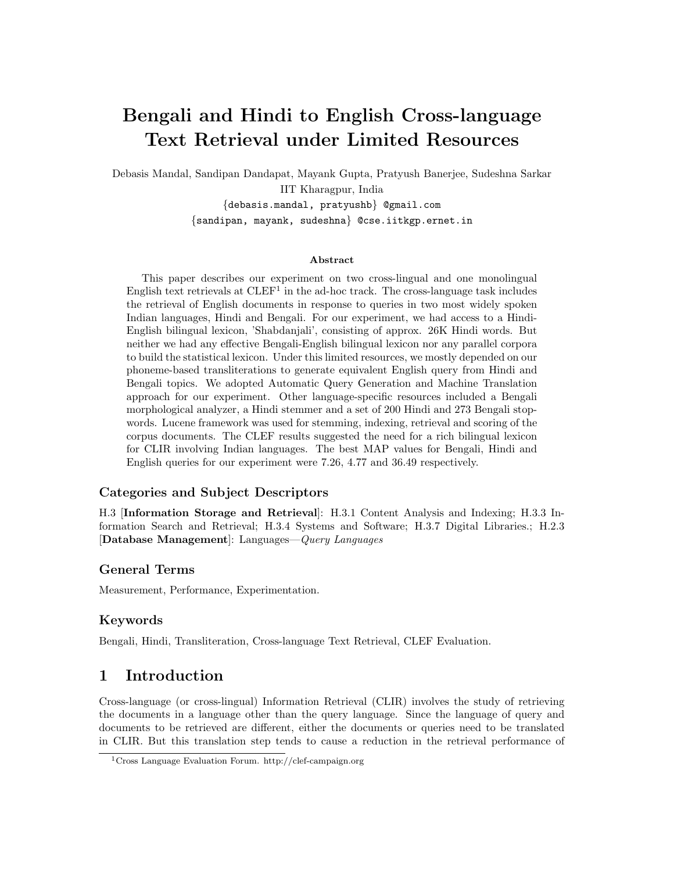# Bengali and Hindi to English Cross-language Text Retrieval under Limited Resources

Debasis Mandal, Sandipan Dandapat, Mayank Gupta, Pratyush Banerjee, Sudeshna Sarkar IIT Kharagpur, India {debasis.mandal, pratyushb} @gmail.com

{sandipan, mayank, sudeshna} @cse.iitkgp.ernet.in

#### Abstract

This paper describes our experiment on two cross-lingual and one monolingual English text retrievals at  $CLEF<sup>1</sup>$  in the ad-hoc track. The cross-language task includes the retrieval of English documents in response to queries in two most widely spoken Indian languages, Hindi and Bengali. For our experiment, we had access to a Hindi-English bilingual lexicon, 'Shabdanjali', consisting of approx. 26K Hindi words. But neither we had any effective Bengali-English bilingual lexicon nor any parallel corpora to build the statistical lexicon. Under this limited resources, we mostly depended on our phoneme-based transliterations to generate equivalent English query from Hindi and Bengali topics. We adopted Automatic Query Generation and Machine Translation approach for our experiment. Other language-specific resources included a Bengali morphological analyzer, a Hindi stemmer and a set of 200 Hindi and 273 Bengali stopwords. Lucene framework was used for stemming, indexing, retrieval and scoring of the corpus documents. The CLEF results suggested the need for a rich bilingual lexicon for CLIR involving Indian languages. The best MAP values for Bengali, Hindi and English queries for our experiment were 7.26, 4.77 and 36.49 respectively.

### Categories and Subject Descriptors

H.3 [Information Storage and Retrieval]: H.3.1 Content Analysis and Indexing; H.3.3 Information Search and Retrieval; H.3.4 Systems and Software; H.3.7 Digital Libraries.; H.2.3 [Database Management]: Languages—Query Languages

### General Terms

Measurement, Performance, Experimentation.

### Keywords

Bengali, Hindi, Transliteration, Cross-language Text Retrieval, CLEF Evaluation.

# 1 Introduction

Cross-language (or cross-lingual) Information Retrieval (CLIR) involves the study of retrieving the documents in a language other than the query language. Since the language of query and documents to be retrieved are different, either the documents or queries need to be translated in CLIR. But this translation step tends to cause a reduction in the retrieval performance of

<sup>1</sup>Cross Language Evaluation Forum. http://clef-campaign.org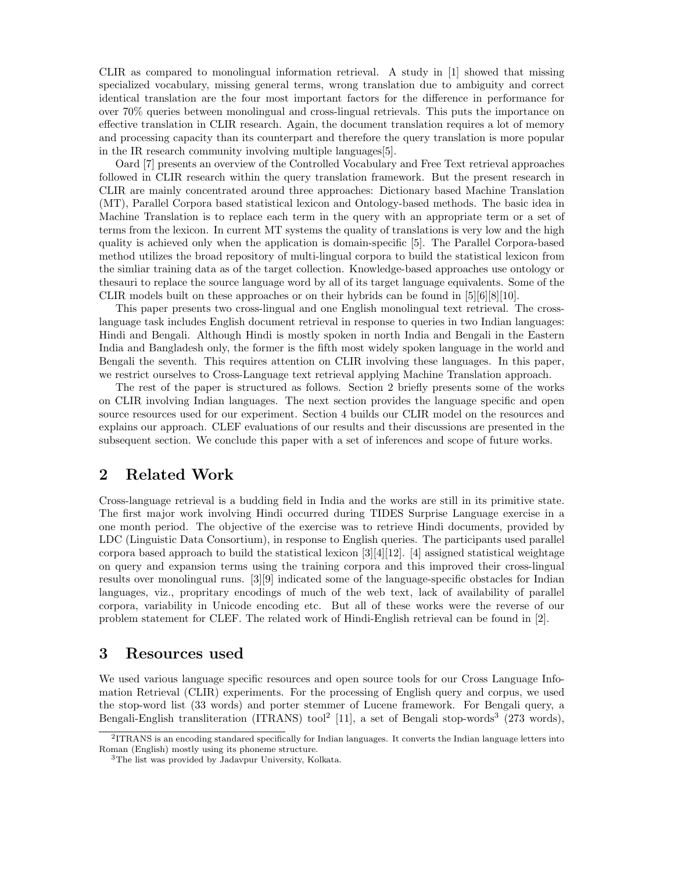CLIR as compared to monolingual information retrieval. A study in [1] showed that missing specialized vocabulary, missing general terms, wrong translation due to ambiguity and correct identical translation are the four most important factors for the difference in performance for over 70% queries between monolingual and cross-lingual retrievals. This puts the importance on effective translation in CLIR research. Again, the document translation requires a lot of memory and processing capacity than its counterpart and therefore the query translation is more popular in the IR research community involving multiple languages[5].

Oard [7] presents an overview of the Controlled Vocabulary and Free Text retrieval approaches followed in CLIR research within the query translation framework. But the present research in CLIR are mainly concentrated around three approaches: Dictionary based Machine Translation (MT), Parallel Corpora based statistical lexicon and Ontology-based methods. The basic idea in Machine Translation is to replace each term in the query with an appropriate term or a set of terms from the lexicon. In current MT systems the quality of translations is very low and the high quality is achieved only when the application is domain-specific [5]. The Parallel Corpora-based method utilizes the broad repository of multi-lingual corpora to build the statistical lexicon from the simliar training data as of the target collection. Knowledge-based approaches use ontology or thesauri to replace the source language word by all of its target language equivalents. Some of the CLIR models built on these approaches or on their hybrids can be found in  $[5][6][8][10]$ .

This paper presents two cross-lingual and one English monolingual text retrieval. The crosslanguage task includes English document retrieval in response to queries in two Indian languages: Hindi and Bengali. Although Hindi is mostly spoken in north India and Bengali in the Eastern India and Bangladesh only, the former is the fifth most widely spoken language in the world and Bengali the seventh. This requires attention on CLIR involving these languages. In this paper, we restrict ourselves to Cross-Language text retrieval applying Machine Translation approach.

The rest of the paper is structured as follows. Section 2 briefly presents some of the works on CLIR involving Indian languages. The next section provides the language specific and open source resources used for our experiment. Section 4 builds our CLIR model on the resources and explains our approach. CLEF evaluations of our results and their discussions are presented in the subsequent section. We conclude this paper with a set of inferences and scope of future works.

### 2 Related Work

Cross-language retrieval is a budding field in India and the works are still in its primitive state. The first major work involving Hindi occurred during TIDES Surprise Language exercise in a one month period. The objective of the exercise was to retrieve Hindi documents, provided by LDC (Linguistic Data Consortium), in response to English queries. The participants used parallel corpora based approach to build the statistical lexicon  $\frac{3}{4}[12]$ . [4] assigned statistical weightage on query and expansion terms using the training corpora and this improved their cross-lingual results over monolingual runs. [3][9] indicated some of the language-specific obstacles for Indian languages, viz., propritary encodings of much of the web text, lack of availability of parallel corpora, variability in Unicode encoding etc. But all of these works were the reverse of our problem statement for CLEF. The related work of Hindi-English retrieval can be found in [2].

### 3 Resources used

We used various language specific resources and open source tools for our Cross Language Infomation Retrieval (CLIR) experiments. For the processing of English query and corpus, we used the stop-word list (33 words) and porter stemmer of Lucene framework. For Bengali query, a Bengali-English transliteration (ITRANS) tool<sup>2</sup> [11], a set of Bengali stop-words<sup>3</sup> (273 words),

<sup>2</sup> ITRANS is an encoding standared specifically for Indian languages. It converts the Indian language letters into Roman (English) mostly using its phoneme structure.

<sup>3</sup>The list was provided by Jadavpur University, Kolkata.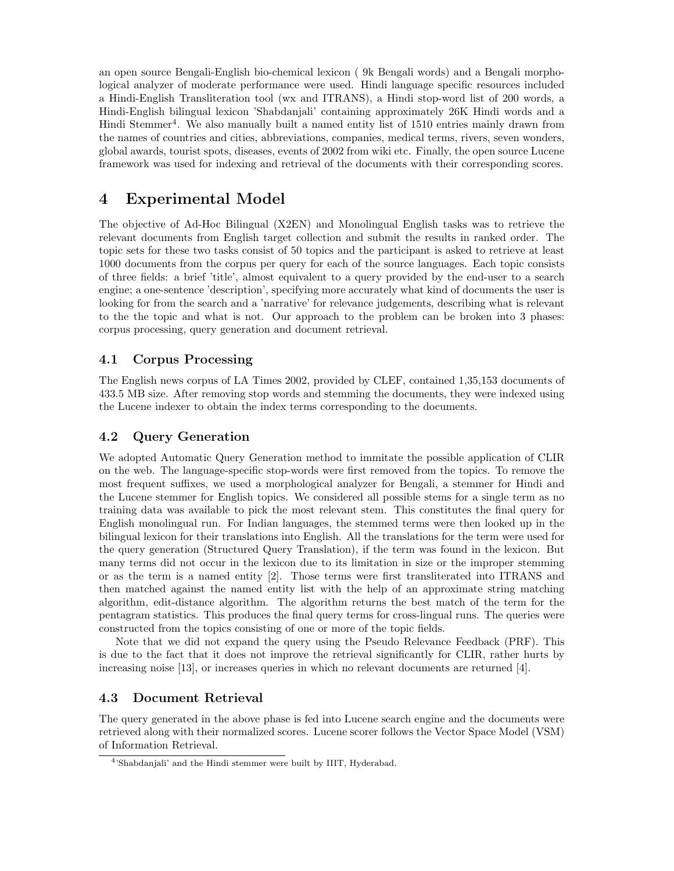an open source Bengali-English bio-chemical lexicon ( 9k Bengali words) and a Bengali morphological analyzer of moderate performance were used. Hindi language specific resources included a Hindi-English Transliteration tool (wx and ITRANS), a Hindi stop-word list of 200 words, a Hindi-English bilingual lexicon 'Shabdanjali' containing approximately 26K Hindi words and a Hindi Stemmer<sup>4</sup>. We also manually built a named entity list of 1510 entries mainly drawn from the names of countries and cities, abbreviations, companies, medical terms, rivers, seven wonders, global awards, tourist spots, diseases, events of 2002 from wiki etc. Finally, the open source Lucene framework was used for indexing and retrieval of the documents with their corresponding scores.

# 4 Experimental Model

The objective of Ad-Hoc Bilingual (X2EN) and Monolingual English tasks was to retrieve the relevant documents from English target collection and submit the results in ranked order. The topic sets for these two tasks consist of 50 topics and the participant is asked to retrieve at least 1000 documents from the corpus per query for each of the source languages. Each topic consists of three fields: a brief 'title', almost equivalent to a query provided by the end-user to a search engine; a one-sentence 'description', specifying more accurately what kind of documents the user is looking for from the search and a 'narrative' for relevance judgements, describing what is relevant to the the topic and what is not. Our approach to the problem can be broken into 3 phases: corpus processing, query generation and document retrieval.

### 4.1 Corpus Processing

The English news corpus of LA Times 2002, provided by CLEF, contained 1,35,153 documents of 433.5 MB size. After removing stop words and stemming the documents, they were indexed using the Lucene indexer to obtain the index terms corresponding to the documents.

### 4.2 Query Generation

We adopted Automatic Query Generation method to immitate the possible application of CLIR on the web. The language-specific stop-words were first removed from the topics. To remove the most frequent suffixes, we used a morphological analyzer for Bengali, a stemmer for Hindi and the Lucene stemmer for English topics. We considered all possible stems for a single term as no training data was available to pick the most relevant stem. This constitutes the final query for English monolingual run. For Indian languages, the stemmed terms were then looked up in the bilingual lexicon for their translations into English. All the translations for the term were used for the query generation (Structured Query Translation), if the term was found in the lexicon. But many terms did not occur in the lexicon due to its limitation in size or the improper stemming or as the term is a named entity [2]. Those terms were first transliterated into ITRANS and then matched against the named entity list with the help of an approximate string matching algorithm, edit-distance algorithm. The algorithm returns the best match of the term for the pentagram statistics. This produces the final query terms for cross-lingual runs. The queries were constructed from the topics consisting of one or more of the topic fields.

Note that we did not expand the query using the Pseudo Relevance Feedback (PRF). This is due to the fact that it does not improve the retrieval significantly for CLIR, rather hurts by increasing noise [13], or increases queries in which no relevant documents are returned [4].

### 4.3 Document Retrieval

The query generated in the above phase is fed into Lucene search engine and the documents were retrieved along with their normalized scores. Lucene scorer follows the Vector Space Model (VSM) of Information Retrieval.

<sup>4</sup> 'Shabdanjali' and the Hindi stemmer were built by IIIT, Hyderabad.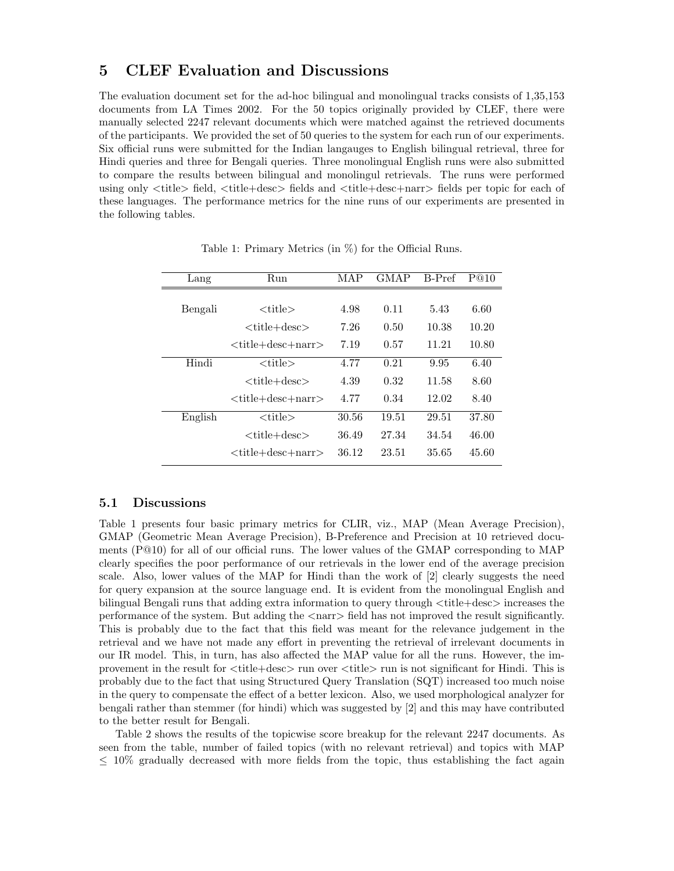# 5 CLEF Evaluation and Discussions

The evaluation document set for the ad-hoc bilingual and monolingual tracks consists of 1,35,153 documents from LA Times 2002. For the 50 topics originally provided by CLEF, there were manually selected 2247 relevant documents which were matched against the retrieved documents of the participants. We provided the set of 50 queries to the system for each run of our experiments. Six official runs were submitted for the Indian langauges to English bilingual retrieval, three for Hindi queries and three for Bengali queries. Three monolingual English runs were also submitted to compare the results between bilingual and monolingul retrievals. The runs were performed using only <title> field, <title+desc> fields and <title+desc+narr> fields per topic for each of these languages. The performance metrics for the nine runs of our experiments are presented in the following tables.

| Lang    | Run                    | MAP   | <b>GMAP</b> | B-Pref | P@10  |
|---------|------------------------|-------|-------------|--------|-------|
|         |                        |       |             |        |       |
| Bengali | $<$ title $>$          | 4.98  | 0.11        | 5.43   | 6.60  |
|         | $<$ title $+$ desc $>$ | 7.26  | 0.50        | 10.38  | 10.20 |
|         | $<$ title+desc+narr>   | 7.19  | 0.57        | 11.21  | 10.80 |
| Hindi   | $<$ title $>$          | 4.77  | 0.21        | 9.95   | 6.40  |
|         | $<$ title+desc $>$     | 4.39  | 0.32        | 11.58  | 8.60  |
|         | $<$ title+desc+narr>   | 4.77  | 0.34        | 12.02  | 8.40  |
| English | $<$ title $>$          | 30.56 | 19.51       | 29.51  | 37.80 |
|         | $<$ title+desc $>$     | 36.49 | 27.34       | 34.54  | 46.00 |
|         | $<$ title+desc+narr>   | 36.12 | 23.51       | 35.65  | 45.60 |

Table 1: Primary Metrics (in %) for the Official Runs.

#### 5.1 Discussions

Table 1 presents four basic primary metrics for CLIR, viz., MAP (Mean Average Precision), GMAP (Geometric Mean Average Precision), B-Preference and Precision at 10 retrieved documents (P@10) for all of our official runs. The lower values of the GMAP corresponding to MAP clearly specifies the poor performance of our retrievals in the lower end of the average precision scale. Also, lower values of the MAP for Hindi than the work of [2] clearly suggests the need for query expansion at the source language end. It is evident from the monolingual English and bilingual Bengali runs that adding extra information to query through <title+desc> increases the performance of the system. But adding the <narr> field has not improved the result significantly. This is probably due to the fact that this field was meant for the relevance judgement in the retrieval and we have not made any effort in preventing the retrieval of irrelevant documents in our IR model. This, in turn, has also affected the MAP value for all the runs. However, the improvement in the result for <title+desc> run over <title> run is not significant for Hindi. This is probably due to the fact that using Structured Query Translation (SQT) increased too much noise in the query to compensate the effect of a better lexicon. Also, we used morphological analyzer for bengali rather than stemmer (for hindi) which was suggested by [2] and this may have contributed to the better result for Bengali.

Table 2 shows the results of the topicwise score breakup for the relevant 2247 documents. As seen from the table, number of failed topics (with no relevant retrieval) and topics with MAP  $\leq$  10% gradually decreased with more fields from the topic, thus establishing the fact again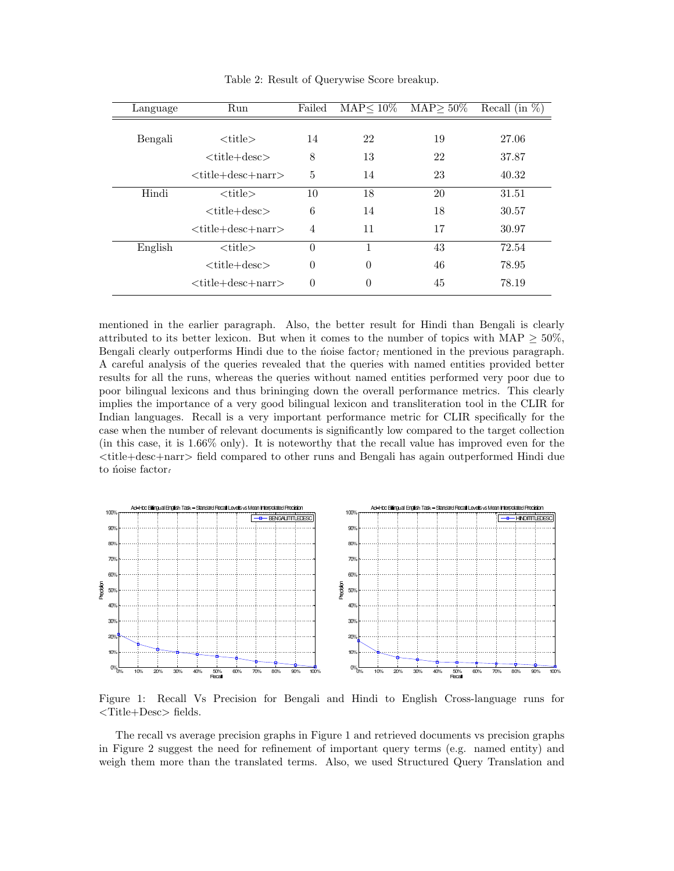| Language | Run                  | Failed   | $MAP< 10\%$ | $MAP > 50\%$ | Recall (in $\%$ ) |
|----------|----------------------|----------|-------------|--------------|-------------------|
|          |                      |          |             |              |                   |
| Bengali  | $<$ title $>$        | 14       | 22          | 19           | 27.06             |
|          | $<$ title+desc $>$   | 8        | 13          | 22           | 37.87             |
|          | $<$ title+desc+narr> | 5        | 14          | 23           | 40.32             |
| Hindi    | $<$ title $>$        | 10       | 18          | 20           | 31.51             |
|          | $<$ title+desc $>$   | 6        | 14          | 18           | 30.57             |
|          | $<$ title+desc+narr> | 4        | 11          | 17           | 30.97             |
| English  | $<$ title $>$        | $\theta$ | 1           | 43           | 72.54             |
|          | $<$ title+desc $>$   | $\theta$ | $\theta$    | 46           | 78.95             |
|          | $<$ title+desc+narr> | $\theta$ | 0           | 45           | 78.19             |

Table 2: Result of Querywise Score breakup.

mentioned in the earlier paragraph. Also, the better result for Hindi than Bengali is clearly attributed to its better lexicon. But when it comes to the number of topics with MAP  $\geq$  50%, Bengali clearly outperforms Hindi due to the noise factor; mentioned in the previous paragraph. A careful analysis of the queries revealed that the queries with named entities provided better results for all the runs, whereas the queries without named entities performed very poor due to poor bilingual lexicons and thus brininging down the overall performance metrics. This clearly implies the importance of a very good bilingual lexicon and transliteration tool in the CLIR for Indian languages. Recall is a very important performance metric for CLIR specifically for the case when the number of relevant documents is significantly low compared to the target collection (in this case, it is 1.66% only). It is noteworthy that the recall value has improved even for the <title+desc+narr> field compared to other runs and Bengali has again outperformed Hindi due to noise factor.



Figure 1: Recall Vs Precision for Bengali and Hindi to English Cross-language runs for <Title+Desc> fields.

The recall vs average precision graphs in Figure 1 and retrieved documents vs precision graphs in Figure 2 suggest the need for refinement of important query terms (e.g. named entity) and weigh them more than the translated terms. Also, we used Structured Query Translation and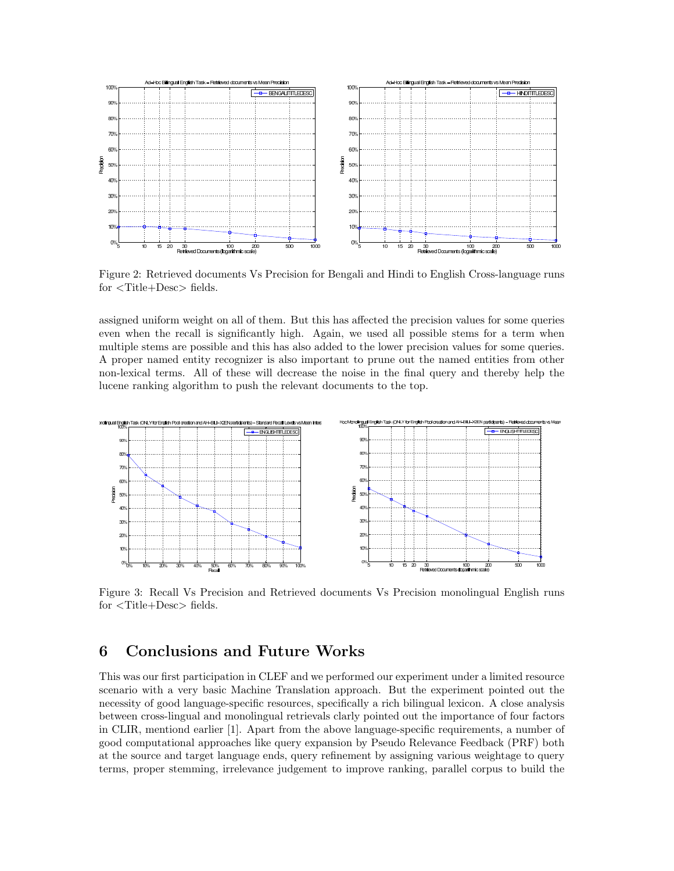

Figure 2: Retrieved documents Vs Precision for Bengali and Hindi to English Cross-language runs for <Title+Desc> fields.

assigned uniform weight on all of them. But this has affected the precision values for some queries even when the recall is significantly high. Again, we used all possible stems for a term when multiple stems are possible and this has also added to the lower precision values for some queries. A proper named entity recognizer is also important to prune out the named entities from other non-lexical terms. All of these will decrease the noise in the final query and thereby help the lucene ranking algorithm to push the relevant documents to the top.



Figure 3: Recall Vs Precision and Retrieved documents Vs Precision monolingual English runs for <Title+Desc> fields.

# 6 Conclusions and Future Works

This was our first participation in CLEF and we performed our experiment under a limited resource scenario with a very basic Machine Translation approach. But the experiment pointed out the necessity of good language-specific resources, specifically a rich bilingual lexicon. A close analysis between cross-lingual and monolingual retrievals clarly pointed out the importance of four factors in CLIR, mentiond earlier [1]. Apart from the above language-specific requirements, a number of good computational approaches like query expansion by Pseudo Relevance Feedback (PRF) both at the source and target language ends, query refinement by assigning various weightage to query terms, proper stemming, irrelevance judgement to improve ranking, parallel corpus to build the